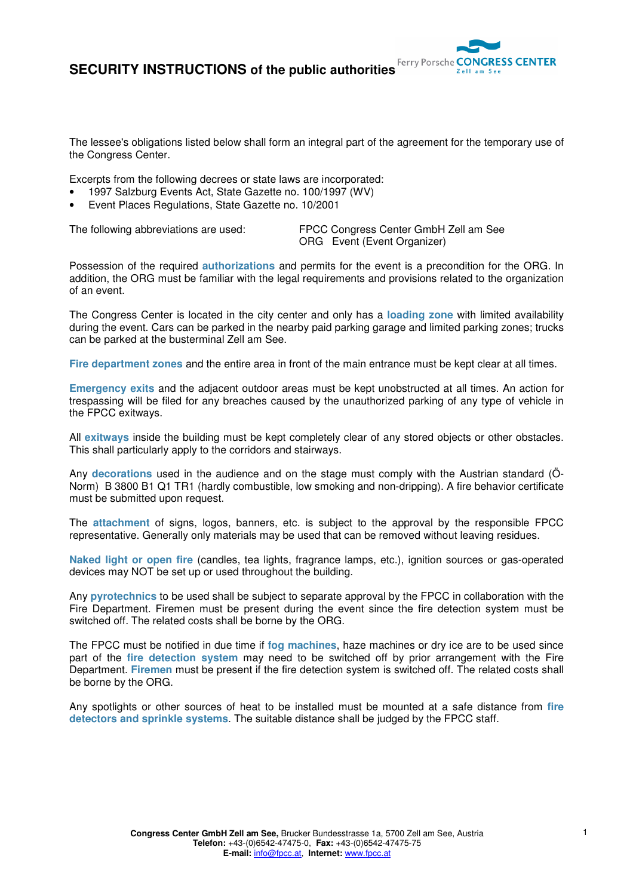

The lessee's obligations listed below shall form an integral part of the agreement for the temporary use of the Congress Center.

Excerpts from the following decrees or state laws are incorporated:

- 1997 Salzburg Events Act, State Gazette no. 100/1997 (WV)
- Event Places Regulations, State Gazette no. 10/2001

The following abbreviations are used: FPCC Congress Center GmbH Zell am See ORG Event (Event Organizer)

Possession of the required **authorizations** and permits for the event is a precondition for the ORG. In addition, the ORG must be familiar with the legal requirements and provisions related to the organization of an event.

The Congress Center is located in the city center and only has a **loading zone** with limited availability during the event. Cars can be parked in the nearby paid parking garage and limited parking zones; trucks can be parked at the busterminal Zell am See.

**Fire department zones** and the entire area in front of the main entrance must be kept clear at all times.

**Emergency exits** and the adjacent outdoor areas must be kept unobstructed at all times. An action for trespassing will be filed for any breaches caused by the unauthorized parking of any type of vehicle in the FPCC exitways.

All **exitways** inside the building must be kept completely clear of any stored objects or other obstacles. This shall particularly apply to the corridors and stairways.

Any **decorations** used in the audience and on the stage must comply with the Austrian standard (Ö-Norm) B 3800 B1 Q1 TR1 (hardly combustible, low smoking and non-dripping). A fire behavior certificate must be submitted upon request.

The **attachment** of signs, logos, banners, etc. is subject to the approval by the responsible FPCC representative. Generally only materials may be used that can be removed without leaving residues.

**Naked light or open fire** (candles, tea lights, fragrance lamps, etc.), ignition sources or gas-operated devices may NOT be set up or used throughout the building.

Any **pyrotechnics** to be used shall be subject to separate approval by the FPCC in collaboration with the Fire Department. Firemen must be present during the event since the fire detection system must be switched off. The related costs shall be borne by the ORG.

The FPCC must be notified in due time if **fog machines**, haze machines or dry ice are to be used since part of the **fire detection system** may need to be switched off by prior arrangement with the Fire Department. **Firemen** must be present if the fire detection system is switched off. The related costs shall be borne by the ORG.

Any spotlights or other sources of heat to be installed must be mounted at a safe distance from **fire detectors and sprinkle systems**. The suitable distance shall be judged by the FPCC staff.